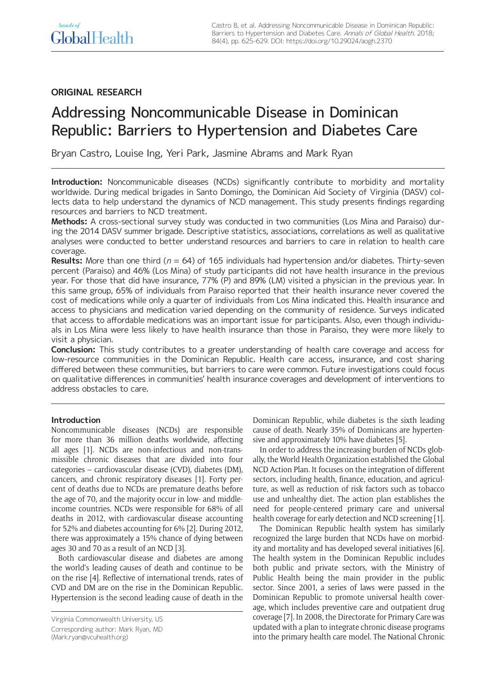# **ORIGINAL RESEARCH**

# Addressing Noncommunicable Disease in Dominican Republic: Barriers to Hypertension and Diabetes Care

Bryan Castro, Louise Ing, Yeri Park, Jasmine Abrams and Mark Ryan

**Introduction:** Noncommunicable diseases (NCDs) significantly contribute to morbidity and mortality worldwide. During medical brigades in Santo Domingo, the Dominican Aid Society of Virginia (DASV) collects data to help understand the dynamics of NCD management. This study presents findings regarding resources and barriers to NCD treatment.

**Methods:** A cross-sectional survey study was conducted in two communities (Los Mina and Paraiso) during the 2014 DASV summer brigade. Descriptive statistics, associations, correlations as well as qualitative analyses were conducted to better understand resources and barriers to care in relation to health care coverage.

**Results:** More than one third ( $n = 64$ ) of 165 individuals had hypertension and/or diabetes. Thirty-seven percent (Paraiso) and 46% (Los Mina) of study participants did not have health insurance in the previous year. For those that did have insurance, 77% (P) and 89% (LM) visited a physician in the previous year. In this same group, 65% of individuals from Paraiso reported that their health insurance never covered the cost of medications while only a quarter of individuals from Los Mina indicated this. Health insurance and access to physicians and medication varied depending on the community of residence. Surveys indicated that access to affordable medications was an important issue for participants. Also, even though individuals in Los Mina were less likely to have health insurance than those in Paraiso, they were more likely to visit a physician.

**Conclusion:** This study contributes to a greater understanding of health care coverage and access for low-resource communities in the Dominican Republic. Health care access, insurance, and cost sharing differed between these communities, but barriers to care were common. Future investigations could focus on qualitative differences in communities' health insurance coverages and development of interventions to address obstacles to care.

# **Introduction**

Noncommunicable diseases (NCDs) are responsible for more than 36 million deaths worldwide, affecting all ages [1]. NCDs are non-infectious and non-transmissible chronic diseases that are divided into four categories – cardiovascular disease (CVD), diabetes (DM), cancers, and chronic respiratory diseases [1]. Forty percent of deaths due to NCDs are premature deaths before the age of 70, and the majority occur in low- and middleincome countries. NCDs were responsible for 68% of all deaths in 2012, with cardiovascular disease accounting for 52% and diabetes accounting for 6% [2]. During 2012, there was approximately a 15% chance of dying between ages 30 and 70 as a result of an NCD [3].

Both cardiovascular disease and diabetes are among the world's leading causes of death and continue to be on the rise [4]. Reflective of international trends, rates of CVD and DM are on the rise in the Dominican Republic. Hypertension is the second leading cause of death in the Dominican Republic, while diabetes is the sixth leading cause of death. Nearly 35% of Dominicans are hypertensive and approximately 10% have diabetes [5].

In order to address the increasing burden of NCDs globally, the World Health Organization established the Global NCD Action Plan. It focuses on the integration of different sectors, including health, finance, education, and agriculture, as well as reduction of risk factors such as tobacco use and unhealthy diet. The action plan establishes the need for people-centered primary care and universal health coverage for early detection and NCD screening [1].

The Dominican Republic health system has similarly recognized the large burden that NCDs have on morbidity and mortality and has developed several initiatives [6]. The health system in the Dominican Republic includes both public and private sectors, with the Ministry of Public Health being the main provider in the public sector. Since 2001, a series of laws were passed in the Dominican Republic to promote universal health coverage, which includes preventive care and outpatient drug coverage [7]. In 2008, the Directorate for Primary Care was updated with a plan to integrate chronic disease programs into the primary health care model. The National Chronic

Virginia Commonwealth University, US Corresponding author: Mark Ryan, MD [\(Mark.ryan@vcuhealth.org](mailto:Mark.ryan@vcuhealth.org))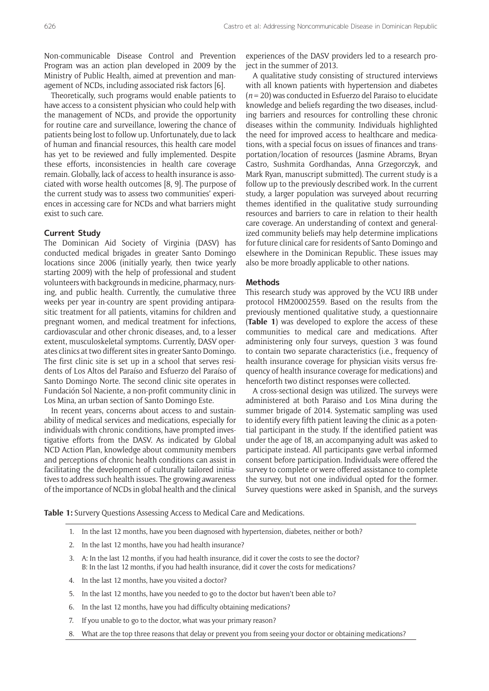Theoretically, such programs would enable patients to have access to a consistent physician who could help with the management of NCDs, and provide the opportunity for routine care and surveillance, lowering the chance of patients being lost to follow up. Unfortunately, due to lack of human and financial resources, this health care model has yet to be reviewed and fully implemented. Despite these efforts, inconsistencies in health care coverage remain. Globally, lack of access to health insurance is associated with worse health outcomes [8, 9]. The purpose of the current study was to assess two communities' experiences in accessing care for NCDs and what barriers might exist to such care.

# **Current Study**

The Dominican Aid Society of Virginia (DASV) has conducted medical brigades in greater Santo Domingo locations since 2006 (initially yearly, then twice yearly starting 2009) with the help of professional and student volunteers with backgrounds in medicine, pharmacy, nursing, and public health. Currently, the cumulative three weeks per year in-country are spent providing antiparasitic treatment for all patients, vitamins for children and pregnant women, and medical treatment for infections, cardiovascular and other chronic diseases, and, to a lesser extent, musculoskeletal symptoms. Currently, DASV operates clinics at two different sites in greater Santo Domingo. The first clinic site is set up in a school that serves residents of Los Altos del Paraíso and Esfuerzo del Paraíso of Santo Domingo Norte. The second clinic site operates in Fundación Sol Naciente, a non-profit community clinic in Los Mina, an urban section of Santo Domingo Este.

In recent years, concerns about access to and sustainability of medical services and medications, especially for individuals with chronic conditions, have prompted investigative efforts from the DASV. As indicated by Global NCD Action Plan, knowledge about community members and perceptions of chronic health conditions can assist in facilitating the development of culturally tailored initiatives to address such health issues. The growing awareness of the importance of NCDs in global health and the clinical

experiences of the DASV providers led to a research project in the summer of 2013.

A qualitative study consisting of structured interviews with all known patients with hypertension and diabetes (*n* = 20) was conducted in Esfuerzo del Paraiso to elucidate knowledge and beliefs regarding the two diseases, including barriers and resources for controlling these chronic diseases within the community. Individuals highlighted the need for improved access to healthcare and medications, with a special focus on issues of finances and transportation/location of resources (Jasmine Abrams, Bryan Castro, Sushmita Gordhandas, Anna Grzegorczyk, and Mark Ryan, manuscript submitted). The current study is a follow up to the previously described work. In the current study, a larger population was surveyed about recurring themes identified in the qualitative study surrounding resources and barriers to care in relation to their health care coverage. An understanding of context and generalized community beliefs may help determine implications for future clinical care for residents of Santo Domingo and elsewhere in the Dominican Republic. These issues may also be more broadly applicable to other nations.

#### **Methods**

This research study was approved by the VCU IRB under protocol HM20002559. Based on the results from the previously mentioned qualitative study, a questionnaire (**Table 1**) was developed to explore the access of these communities to medical care and medications. After administering only four surveys, question 3 was found to contain two separate characteristics (i.e., frequency of health insurance coverage for physician visits versus frequency of health insurance coverage for medications) and henceforth two distinct responses were collected.

A cross-sectional design was utilized. The surveys were administered at both Paraiso and Los Mina during the summer brigade of 2014. Systematic sampling was used to identify every fifth patient leaving the clinic as a potential participant in the study. If the identified patient was under the age of 18, an accompanying adult was asked to participate instead. All participants gave verbal informed consent before participation. Individuals were offered the survey to complete or were offered assistance to complete the survey, but not one individual opted for the former. Survey questions were asked in Spanish, and the surveys

**Table 1:** Survery Questions Assessing Access to Medical Care and Medications.

- 1. In the last 12 months, have you been diagnosed with hypertension, diabetes, neither or both?
- 2. In the last 12 months, have you had health insurance?
- 3. A: In the last 12 months, if you had health insurance, did it cover the costs to see the doctor? B: In the last 12 months, if you had health insurance, did it cover the costs for medications?
- 4. In the last 12 months, have you visited a doctor?
- 5. In the last 12 months, have you needed to go to the doctor but haven't been able to?
- 6. In the last 12 months, have you had difficulty obtaining medications?
- 7. If you unable to go to the doctor, what was your primary reason?
- 8. What are the top three reasons that delay or prevent you from seeing your doctor or obtaining medications?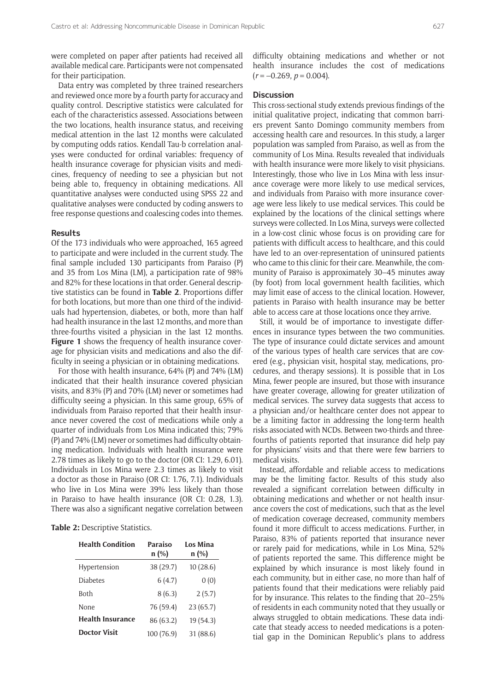were completed on paper after patients had received all available medical care. Participants were not compensated for their participation.

Data entry was completed by three trained researchers and reviewed once more by a fourth party for accuracy and quality control. Descriptive statistics were calculated for each of the characteristics assessed. Associations between the two locations, health insurance status, and receiving medical attention in the last 12 months were calculated by computing odds ratios. Kendall Tau-b correlation analyses were conducted for ordinal variables: frequency of health insurance coverage for physician visits and medicines, frequency of needing to see a physician but not being able to, frequency in obtaining medications. All quantitative analyses were conducted using SPSS 22 and qualitative analyses were conducted by coding answers to free response questions and coalescing codes into themes.

### **Results**

Of the 173 individuals who were approached, 165 agreed to participate and were included in the current study. The final sample included 130 participants from Paraiso (P) and 35 from Los Mina (LM), a participation rate of 98% and 82% for these locations in that order. General descriptive statistics can be found in **Table 2**. Proportions differ for both locations, but more than one third of the individuals had hypertension, diabetes, or both, more than half had health insurance in the last 12 months, and more than three-fourths visited a physician in the last 12 months. Figure 1 shows the frequency of health insurance coverage for physician visits and medications and also the difficulty in seeing a physician or in obtaining medications.

For those with health insurance, 64% (P) and 74% (LM) indicated that their health insurance covered physician visits, and 83% (P) and 70% (LM) never or sometimes had difficulty seeing a physician. In this same group, 65% of individuals from Paraiso reported that their health insurance never covered the cost of medications while only a quarter of individuals from Los Mina indicated this; 79% (P) and 74% (LM) never or sometimes had difficulty obtaining medication. Individuals with health insurance were 2.78 times as likely to go to the doctor (OR CI: 1.29, 6.01). Individuals in Los Mina were 2.3 times as likely to visit a doctor as those in Paraiso (OR CI: 1.76, 7.1). Individuals who live in Los Mina were 39% less likely than those in Paraiso to have health insurance (OR CI: 0.28, 1.3). There was also a significant negative correlation between

# **Table 2:** Descriptive Statistics.

| <b>Health Condition</b> | Paraiso<br>$n$ (%) | Los Mina<br>$n$ (%) |
|-------------------------|--------------------|---------------------|
| Hypertension            | 38 (29.7)          | 10(28.6)            |
| <b>Diabetes</b>         | 6(4.7)             | 0(0)                |
| <b>Both</b>             | 8(6.3)             | 2(5.7)              |
| None                    | 76 (59.4)          | 23(65.7)            |
| <b>Health Insurance</b> | 86 (63.2)          | 19 (54.3)           |
| <b>Doctor Visit</b>     | 100 (76.9)         | 31(88.6)            |

difficulty obtaining medications and whether or not health insurance includes the cost of medications  $(r = -0.269, p = 0.004)$ .

# **Discussion**

This cross-sectional study extends previous findings of the initial qualitative project, indicating that common barriers prevent Santo Domingo community members from accessing health care and resources. In this study, a larger population was sampled from Paraiso, as well as from the community of Los Mina. Results revealed that individuals with health insurance were more likely to visit physicians. Interestingly, those who live in Los Mina with less insurance coverage were more likely to use medical services, and individuals from Paraiso with more insurance coverage were less likely to use medical services. This could be explained by the locations of the clinical settings where surveys were collected. In Los Mina, surveys were collected in a low-cost clinic whose focus is on providing care for patients with difficult access to healthcare, and this could have led to an over-representation of uninsured patients who came to this clinic for their care. Meanwhile, the community of Paraiso is approximately 30–45 minutes away (by foot) from local government health facilities, which may limit ease of access to the clinical location. However, patients in Paraiso with health insurance may be better able to access care at those locations once they arrive.

Still, it would be of importance to investigate differences in insurance types between the two communities. The type of insurance could dictate services and amount of the various types of health care services that are covered (e.g., physician visit, hospital stay, medications, procedures, and therapy sessions). It is possible that in Los Mina, fewer people are insured, but those with insurance have greater coverage, allowing for greater utilization of medical services. The survey data suggests that access to a physician and/or healthcare center does not appear to be a limiting factor in addressing the long-term health risks associated with NCDs. Between two-thirds and threefourths of patients reported that insurance did help pay for physicians' visits and that there were few barriers to medical visits.

Instead, affordable and reliable access to medications may be the limiting factor. Results of this study also revealed a significant correlation between difficulty in obtaining medications and whether or not health insurance covers the cost of medications, such that as the level of medication coverage decreased, community members found it more difficult to access medications. Further, in Paraiso, 83% of patients reported that insurance never or rarely paid for medications, while in Los Mina, 52% of patients reported the same. This difference might be explained by which insurance is most likely found in each community, but in either case, no more than half of patients found that their medications were reliably paid for by insurance. This relates to the finding that 20–25% of residents in each community noted that they usually or always struggled to obtain medications. These data indicate that steady access to needed medications is a potential gap in the Dominican Republic's plans to address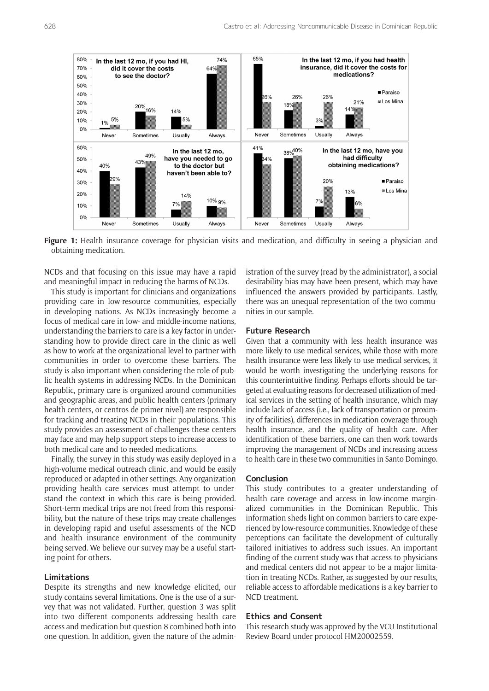

**Figure 1:** Health insurance coverage for physician visits and medication, and difficulty in seeing a physician and obtaining medication.

NCDs and that focusing on this issue may have a rapid and meaningful impact in reducing the harms of NCDs.

This study is important for clinicians and organizations providing care in low-resource communities, especially in developing nations. As NCDs increasingly become a focus of medical care in low- and middle-income nations, understanding the barriers to care is a key factor in understanding how to provide direct care in the clinic as well as how to work at the organizational level to partner with communities in order to overcome these barriers. The study is also important when considering the role of public health systems in addressing NCDs. In the Dominican Republic, primary care is organized around communities and geographic areas, and public health centers (primary health centers, or centros de primer nivel) are responsible for tracking and treating NCDs in their populations. This study provides an assessment of challenges these centers may face and may help support steps to increase access to both medical care and to needed medications.

Finally, the survey in this study was easily deployed in a high-volume medical outreach clinic, and would be easily reproduced or adapted in other settings. Any organization providing health care services must attempt to understand the context in which this care is being provided. Short-term medical trips are not freed from this responsibility, but the nature of these trips may create challenges in developing rapid and useful assessments of the NCD and health insurance environment of the community being served. We believe our survey may be a useful starting point for others.

#### **Limitations**

Despite its strengths and new knowledge elicited, our study contains several limitations. One is the use of a survey that was not validated. Further, question 3 was split into two different components addressing health care access and medication but question 8 combined both into one question. In addition, given the nature of the administration of the survey (read by the administrator), a social desirability bias may have been present, which may have influenced the answers provided by participants. Lastly, there was an unequal representation of the two communities in our sample.

#### **Future Research**

Given that a community with less health insurance was more likely to use medical services, while those with more health insurance were less likely to use medical services, it would be worth investigating the underlying reasons for this counterintuitive finding. Perhaps efforts should be targeted at evaluating reasons for decreased utilization of medical services in the setting of health insurance, which may include lack of access (i.e., lack of transportation or proximity of facilities), differences in medication coverage through health insurance, and the quality of health care. After identification of these barriers, one can then work towards improving the management of NCDs and increasing access to health care in these two communities in Santo Domingo.

# **Conclusion**

This study contributes to a greater understanding of health care coverage and access in low-income marginalized communities in the Dominican Republic. This information sheds light on common barriers to care experienced by low-resource communities. Knowledge of these perceptions can facilitate the development of culturally tailored initiatives to address such issues. An important finding of the current study was that access to physicians and medical centers did not appear to be a major limitation in treating NCDs. Rather, as suggested by our results, reliable access to affordable medications is a key barrier to NCD treatment.

# **Ethics and Consent**

This research study was approved by the VCU Institutional Review Board under protocol HM20002559.